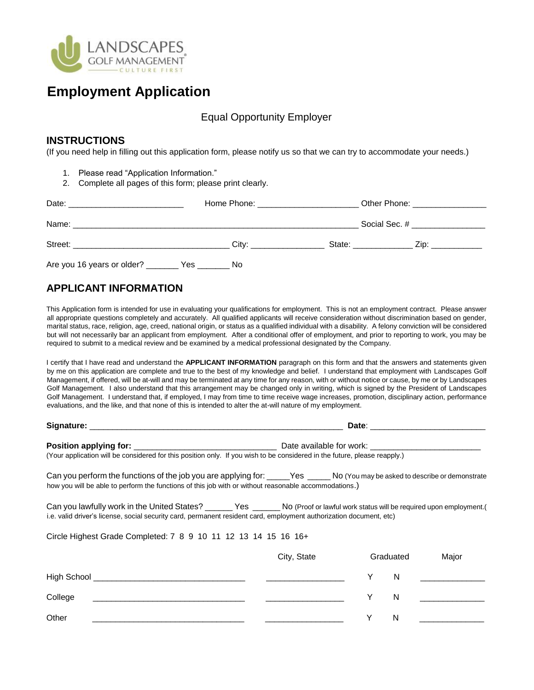

# **Employment Application**

### Equal Opportunity Employer

#### **INSTRUCTIONS**

(If you need help in filling out this application form, please notify us so that we can try to accommodate your needs.)

- 1. Please read "Application Information."
- 2. Complete all pages of this form; please print clearly.

| Date:                                                                                 | Home Phone: ___________________ | Other Phone: _________________    |                                                                                                                                                                                                                                                    |
|---------------------------------------------------------------------------------------|---------------------------------|-----------------------------------|----------------------------------------------------------------------------------------------------------------------------------------------------------------------------------------------------------------------------------------------------|
|                                                                                       |                                 | Social Sec. # ___________________ |                                                                                                                                                                                                                                                    |
| Street:<br>the control of the control of the control of the control of the control of | City:                           |                                   | State: with the state of the state of the state of the state of the state of the state of the state of the state of the state of the state of the state of the state of the state of the state of the state of the state of th<br>Zip: ___________ |
| Are you 16 years or older? _________ Yes _____                                        | No.                             |                                   |                                                                                                                                                                                                                                                    |

# **APPLICANT INFORMATION**

This Application form is intended for use in evaluating your qualifications for employment. This is not an employment contract. Please answer all appropriate questions completely and accurately. All qualified applicants will receive consideration without discrimination based on gender, marital status, race, religion, age, creed, national origin, or status as a qualified individual with a disability. A felony conviction will be considered but will not necessarily bar an applicant from employment. After a conditional offer of employment, and prior to reporting to work, you may be required to submit to a medical review and be examined by a medical professional designated by the Company.

I certify that I have read and understand the **APPLICANT INFORMATION** paragraph on this form and that the answers and statements given by me on this application are complete and true to the best of my knowledge and belief. I understand that employment with Landscapes Golf Management, if offered, will be at-will and may be terminated at any time for any reason, with or without notice or cause, by me or by Landscapes Golf Management. I also understand that this arrangement may be changed only in writing, which is signed by the President of Landscapes Golf Management. I understand that, if employed, I may from time to time receive wage increases, promotion, disciplinary action, performance evaluations, and the like, and that none of this is intended to alter the at-will nature of my employment.

| (Your application will be considered for this position only. If you wish to be considered in the future, please reapply.)                                                                                                                               |             |   |           |       |  |  |
|---------------------------------------------------------------------------------------------------------------------------------------------------------------------------------------------------------------------------------------------------------|-------------|---|-----------|-------|--|--|
| Can you perform the functions of the job you are applying for: _____Yes _____No (You may be asked to describe or demonstrate<br>how you will be able to perform the functions of this job with or without reasonable accommodations.)                   |             |   |           |       |  |  |
| Can you lawfully work in the United States? ______ Yes ______ No (Proof or lawful work status will be required upon employment.(<br>i.e. valid driver's license, social security card, permanent resident card, employment authorization document, etc) |             |   |           |       |  |  |
| Circle Highest Grade Completed: 7 8 9 10 11 12 13 14 15 16 16+                                                                                                                                                                                          |             |   |           |       |  |  |
|                                                                                                                                                                                                                                                         | City, State |   | Graduated | Major |  |  |
|                                                                                                                                                                                                                                                         |             |   | N         |       |  |  |
| College                                                                                                                                                                                                                                                 |             | Y | N         |       |  |  |
| Other                                                                                                                                                                                                                                                   |             | Y | N         |       |  |  |
|                                                                                                                                                                                                                                                         |             |   |           |       |  |  |